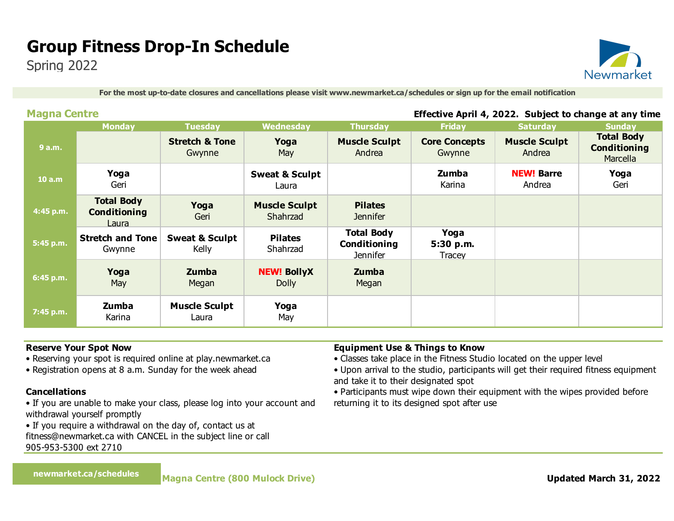## **Group Fitness Drop-In Schedule**

Spring 2022



**For the most up-to-date closures and cancellations please visit www.newmarket.ca/schedules or sign up for the email notification**

#### **Magna Centre Effective April 4, 2022. Subject to change at any time**

|           | <b>Monday</b>                                     | <b>Tuesday</b>                      | Wednesday                          | <b>Thursday</b>                               | <b>Friday</b>                  | <b>Saturday</b>                | <b>Sunday</b>                                        |
|-----------|---------------------------------------------------|-------------------------------------|------------------------------------|-----------------------------------------------|--------------------------------|--------------------------------|------------------------------------------------------|
| 9 a.m.    |                                                   | <b>Stretch &amp; Tone</b><br>Gwynne | Yoga<br>May                        | <b>Muscle Sculpt</b><br>Andrea                | <b>Core Concepts</b><br>Gwynne | <b>Muscle Sculpt</b><br>Andrea | <b>Total Body</b><br><b>Conditioning</b><br>Marcella |
| 10 a.m    | Yoga<br>Geri                                      |                                     | <b>Sweat &amp; Sculpt</b><br>Laura |                                               | Zumba<br>Karina                | <b>NEW! Barre</b><br>Andrea    | Yoga<br>Geri                                         |
| 4:45 p.m. | <b>Total Body</b><br><b>Conditioning</b><br>Laura | Yoga<br>Geri                        | <b>Muscle Sculpt</b><br>Shahrzad   | <b>Pilates</b><br><b>Jennifer</b>             |                                |                                |                                                      |
| 5:45 p.m. | <b>Stretch and Tone</b><br>Gwynne                 | <b>Sweat &amp; Sculpt</b><br>Kelly  | <b>Pilates</b><br>Shahrzad         | <b>Total Body</b><br>Conditioning<br>Jennifer | Yoga<br>5:30 p.m.<br>Tracey    |                                |                                                      |
| 6:45 p.m. | Yoga<br>May                                       | Zumba<br>Megan                      | <b>NEW! BollyX</b><br><b>Dolly</b> | Zumba<br>Megan                                |                                |                                |                                                      |
| 7:45 p.m. | Zumba<br>Karina                                   | <b>Muscle Sculpt</b><br>Laura       | Yoga<br>May                        |                                               |                                |                                |                                                      |

#### **Reserve Your Spot Now**

- Reserving your spot is required online at play.newmarket.ca
- Registration opens at 8 a.m. Sunday for the week ahead

#### **Cancellations**

- If you are unable to make your class, please log into your account and withdrawal yourself promptly
- If you require a withdrawal on the day of, contact us at fitness@newmarket.ca with CANCEL in the subject line or call
- 

905-953-5300 ext 2710

#### **Equipment Use & Things to Know**

- Classes take place in the Fitness Studio located on the upper level
- Upon arrival to the studio, participants will get their required fitness equipment and take it to their designated spot
- Participants must wipe down their equipment with the wipes provided before returning it to its designed spot after use